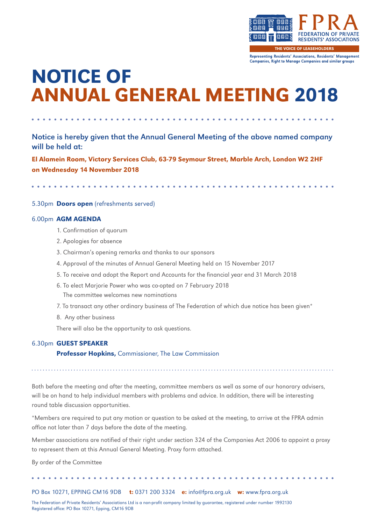

THE VOICE OF LEASEHOLDERS

Representing Residents' Associations, Residents' Management Companies, Right to Manage Companies and similar groups

## NOTICE OF ANNUAL GENERAL MEETING 2018

Notice is hereby given that the Annual General Meeting of the above named company will be held at:

El Alamein Room, Victory Services Club, 63-79 Seymour Street, Marble Arch, London W2 2HF on Wednesday 14 November 2018

#### 5.30pm Doors open (refreshments served)

#### 6.00pm AGM AGENDA

- 1. Confirmation of quorum
- 2. Apologies for absence
- 3. Chairman's opening remarks and thanks to our sponsors
- 4. Approval of the minutes of Annual General Meeting held on 15 November 2017
- 5. To receive and adopt the Report and Accounts for the financial year end 31 March 2018
- 6. To elect Marjorie Power who was co-opted on 7 February 2018 The committee welcomes new nominations
- 7. To transact any other ordinary business of The Federation of which due notice has been given\*
- 8. Any other business

round table discussion opportunities.

There will also be the opportunity to ask questions.

#### 6.30pm GUEST SPEAKER

**Professor Hopkins, Commissioner, The Law Commission** 

Both before the meeting and after the meeting, committee members as well as some of our honorary advisers, will be on hand to help individual members with problems and advice. In addition, there will be interesting

\*Members are required to put any motion or question to be asked at the meeting, to arrive at the FPRA admin

office not later than 7 days before the date of the meeting.

Member associations are notified of their right under section 324 of the Companies Act 2006 to appoint a proxy to represent them at this Annual General Meeting. Proxy form attached.

By order of the Committee

PO Box 10271, EPPING CM16 9DB t: 0371 200 3324 e: info@fpra.org.uk w: www.fpra.org.uk

The Federation of Private Residents' Associations Ltd is a non-profit company limited by guarantee, registered under number 1992130 Registered office: PO Box 10271, Epping, CM16 9DB